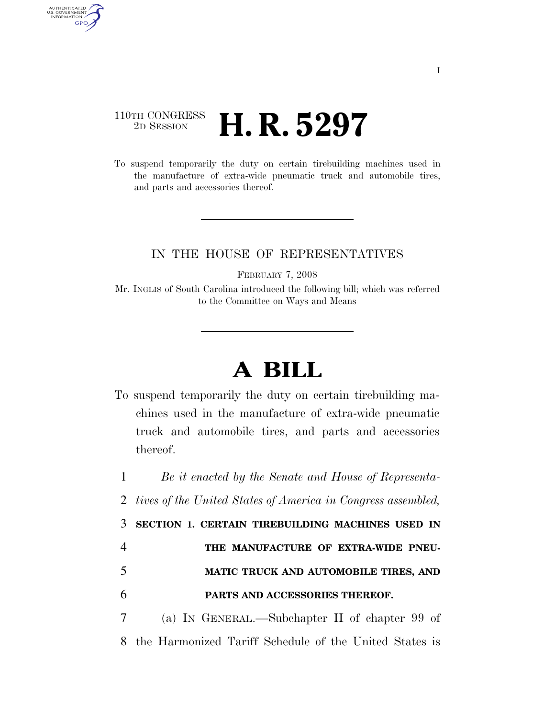## 110TH CONGRESS <sup>2D SESSION</sup> **H. R. 5297**

AUTHENTICATED<br>U.S. GOVERNMENT<br>INFORMATION GPO

> To suspend temporarily the duty on certain tirebuilding machines used in the manufacture of extra-wide pneumatic truck and automobile tires, and parts and accessories thereof.

## IN THE HOUSE OF REPRESENTATIVES

FEBRUARY 7, 2008

Mr. INGLIS of South Carolina introduced the following bill; which was referred to the Committee on Ways and Means

## **A BILL**

To suspend temporarily the duty on certain tirebuilding machines used in the manufacture of extra-wide pneumatic truck and automobile tires, and parts and accessories thereof.

1 *Be it enacted by the Senate and House of Representa-*

2 *tives of the United States of America in Congress assembled,* 

3 **SECTION 1. CERTAIN TIREBUILDING MACHINES USED IN** 

- 4 **THE MANUFACTURE OF EXTRA-WIDE PNEU-**5 **MATIC TRUCK AND AUTOMOBILE TIRES, AND**
- 6 **PARTS AND ACCESSORIES THEREOF.**

7 (a) IN GENERAL.—Subchapter II of chapter 99 of 8 the Harmonized Tariff Schedule of the United States is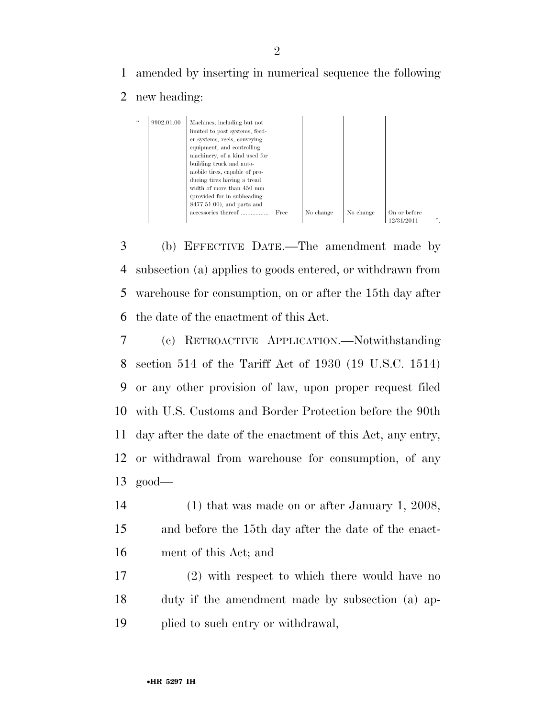1 amended by inserting in numerical sequence the following

## 2 new heading:

| $\epsilon$ | 9902.01.00 | Machines, including but not    |      |           |           |              |     |
|------------|------------|--------------------------------|------|-----------|-----------|--------------|-----|
|            |            | limited to post systems, feed- |      |           |           |              |     |
|            |            | er systems, reels, conveying   |      |           |           |              |     |
|            |            | equipment, and controlling     |      |           |           |              |     |
|            |            | machinery, of a kind used for  |      |           |           |              |     |
|            |            | building truck and auto-       |      |           |           |              |     |
|            |            | mobile tires, capable of pro-  |      |           |           |              |     |
|            |            | ducing tires having a tread    |      |           |           |              |     |
|            |            | width of more than 450 mm      |      |           |           |              |     |
|            |            | (provided for in subheading)   |      |           |           |              |     |
|            |            | $8477.51.00$ , and parts and   |      |           |           |              |     |
|            |            | accessories thereof            | Free | No change | No change | On or before |     |
|            |            |                                |      |           |           | 12/31/2011   | , , |

 (b) EFFECTIVE DATE.—The amendment made by subsection (a) applies to goods entered, or withdrawn from warehouse for consumption, on or after the 15th day after the date of the enactment of this Act.

 (c) RETROACTIVE APPLICATION.—Notwithstanding section 514 of the Tariff Act of 1930 (19 U.S.C. 1514) or any other provision of law, upon proper request filed with U.S. Customs and Border Protection before the 90th day after the date of the enactment of this Act, any entry, or withdrawal from warehouse for consumption, of any 13 good—

14 (1) that was made on or after January 1, 2008, 15 and before the 15th day after the date of the enact-16 ment of this Act; and

17 (2) with respect to which there would have no 18 duty if the amendment made by subsection (a) ap-19 plied to such entry or withdrawal,